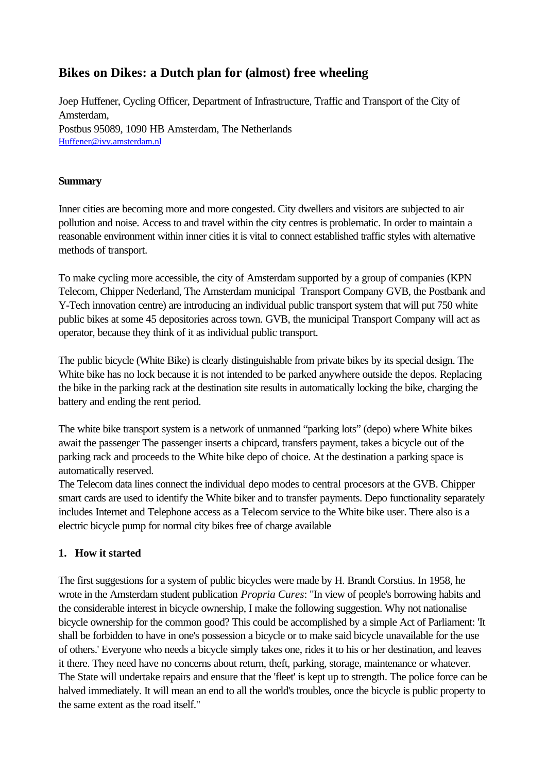# **Bikes on Dikes: a Dutch plan for (almost) free wheeling**

Joep Huffener, Cycling Officer, Department of Infrastructure, Traffic and Transport of the City of Amsterdam, Postbus 95089, 1090 HB Amsterdam, The Netherlands Huffener@ivv.amsterdam.nl

#### **Summary**

Inner cities are becoming more and more congested. City dwellers and visitors are subjected to air pollution and noise. Access to and travel within the city centres is problematic. In order to maintain a reasonable environment within inner cities it is vital to connect established traffic styles with alternative methods of transport.

To make cycling more accessible, the city of Amsterdam supported by a group of companies (KPN Telecom, Chipper Nederland, The Amsterdam municipal Transport Company GVB, the Postbank and Y-Tech innovation centre) are introducing an individual public transport system that will put 750 white public bikes at some 45 depositories across town. GVB, the municipal Transport Company will act as operator, because they think of it as individual public transport.

The public bicycle (White Bike) is clearly distinguishable from private bikes by its special design. The White bike has no lock because it is not intended to be parked anywhere outside the depos. Replacing the bike in the parking rack at the destination site results in automatically locking the bike, charging the battery and ending the rent period.

The white bike transport system is a network of unmanned "parking lots" (depo) where White bikes await the passenger The passenger inserts a chipcard, transfers payment, takes a bicycle out of the parking rack and proceeds to the White bike depo of choice. At the destination a parking space is automatically reserved.

The Telecom data lines connect the individual depo modes to central procesors at the GVB. Chipper smart cards are used to identify the White biker and to transfer payments. Depo functionality separately includes Internet and Telephone access as a Telecom service to the White bike user. There also is a electric bicycle pump for normal city bikes free of charge available

### **1. How it started**

The first suggestions for a system of public bicycles were made by H. Brandt Corstius. In 1958, he wrote in the Amsterdam student publication *Propria Cures*: "In view of people's borrowing habits and the considerable interest in bicycle ownership, I make the following suggestion. Why not nationalise bicycle ownership for the common good? This could be accomplished by a simple Act of Parliament: 'It shall be forbidden to have in one's possession a bicycle or to make said bicycle unavailable for the use of others.' Everyone who needs a bicycle simply takes one, rides it to his or her destination, and leaves it there. They need have no concerns about return, theft, parking, storage, maintenance or whatever. The State will undertake repairs and ensure that the 'fleet' is kept up to strength. The police force can be halved immediately. It will mean an end to all the world's troubles, once the bicycle is public property to the same extent as the road itself."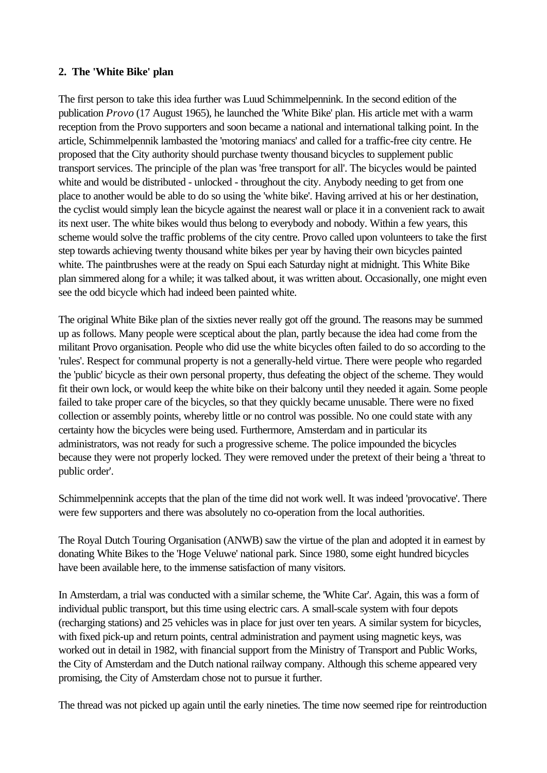#### **2. The 'White Bike' plan**

The first person to take this idea further was Luud Schimmelpennink. In the second edition of the publication *Provo* (17 August 1965), he launched the 'White Bike' plan. His article met with a warm reception from the Provo supporters and soon became a national and international talking point. In the article, Schimmelpennik lambasted the 'motoring maniacs' and called for a traffic-free city centre. He proposed that the City authority should purchase twenty thousand bicycles to supplement public transport services. The principle of the plan was 'free transport for all'. The bicycles would be painted white and would be distributed - unlocked - throughout the city. Anybody needing to get from one place to another would be able to do so using the 'white bike'. Having arrived at his or her destination, the cyclist would simply lean the bicycle against the nearest wall or place it in a convenient rack to await its next user. The white bikes would thus belong to everybody and nobody. Within a few years, this scheme would solve the traffic problems of the city centre. Provo called upon volunteers to take the first step towards achieving twenty thousand white bikes per year by having their own bicycles painted white. The paintbrushes were at the ready on Spui each Saturday night at midnight. This White Bike plan simmered along for a while; it was talked about, it was written about. Occasionally, one might even see the odd bicycle which had indeed been painted white.

The original White Bike plan of the sixties never really got off the ground. The reasons may be summed up as follows. Many people were sceptical about the plan, partly because the idea had come from the militant Provo organisation. People who did use the white bicycles often failed to do so according to the 'rules'. Respect for communal property is not a generally-held virtue. There were people who regarded the 'public' bicycle as their own personal property, thus defeating the object of the scheme. They would fit their own lock, or would keep the white bike on their balcony until they needed it again. Some people failed to take proper care of the bicycles, so that they quickly became unusable. There were no fixed collection or assembly points, whereby little or no control was possible. No one could state with any certainty how the bicycles were being used. Furthermore, Amsterdam and in particular its administrators, was not ready for such a progressive scheme. The police impounded the bicycles because they were not properly locked. They were removed under the pretext of their being a 'threat to public order'.

Schimmelpennink accepts that the plan of the time did not work well. It was indeed 'provocative'. There were few supporters and there was absolutely no co-operation from the local authorities.

The Royal Dutch Touring Organisation (ANWB) saw the virtue of the plan and adopted it in earnest by donating White Bikes to the 'Hoge Veluwe' national park. Since 1980, some eight hundred bicycles have been available here, to the immense satisfaction of many visitors.

In Amsterdam, a trial was conducted with a similar scheme, the 'White Car'. Again, this was a form of individual public transport, but this time using electric cars. A small-scale system with four depots (recharging stations) and 25 vehicles was in place for just over ten years. A similar system for bicycles, with fixed pick-up and return points, central administration and payment using magnetic keys, was worked out in detail in 1982, with financial support from the Ministry of Transport and Public Works, the City of Amsterdam and the Dutch national railway company. Although this scheme appeared very promising, the City of Amsterdam chose not to pursue it further.

The thread was not picked up again until the early nineties. The time now seemed ripe for reintroduction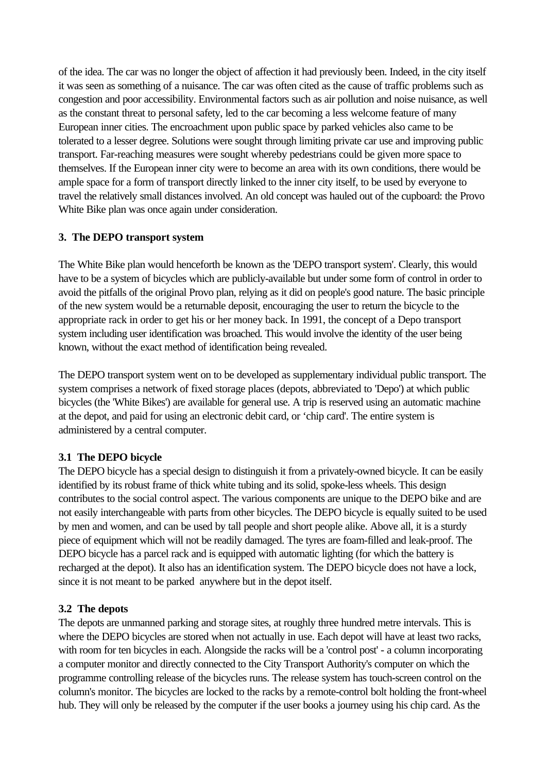of the idea. The car was no longer the object of affection it had previously been. Indeed, in the city itself it was seen as something of a nuisance. The car was often cited as the cause of traffic problems such as congestion and poor accessibility. Environmental factors such as air pollution and noise nuisance, as well as the constant threat to personal safety, led to the car becoming a less welcome feature of many European inner cities. The encroachment upon public space by parked vehicles also came to be tolerated to a lesser degree. Solutions were sought through limiting private car use and improving public transport. Far-reaching measures were sought whereby pedestrians could be given more space to themselves. If the European inner city were to become an area with its own conditions, there would be ample space for a form of transport directly linked to the inner city itself, to be used by everyone to travel the relatively small distances involved. An old concept was hauled out of the cupboard: the Provo White Bike plan was once again under consideration.

### **3. The DEPO transport system**

The White Bike plan would henceforth be known as the 'DEPO transport system'. Clearly, this would have to be a system of bicycles which are publicly-available but under some form of control in order to avoid the pitfalls of the original Provo plan, relying as it did on people's good nature. The basic principle of the new system would be a returnable deposit, encouraging the user to return the bicycle to the appropriate rack in order to get his or her money back. In 1991, the concept of a Depo transport system including user identification was broached. This would involve the identity of the user being known, without the exact method of identification being revealed.

The DEPO transport system went on to be developed as supplementary individual public transport. The system comprises a network of fixed storage places (depots, abbreviated to 'Depo') at which public bicycles (the 'White Bikes') are available for general use. A trip is reserved using an automatic machine at the depot, and paid for using an electronic debit card, or 'chip card'. The entire system is administered by a central computer.

# **3.1 The DEPO bicycle**

The DEPO bicycle has a special design to distinguish it from a privately-owned bicycle. It can be easily identified by its robust frame of thick white tubing and its solid, spoke-less wheels. This design contributes to the social control aspect. The various components are unique to the DEPO bike and are not easily interchangeable with parts from other bicycles. The DEPO bicycle is equally suited to be used by men and women, and can be used by tall people and short people alike. Above all, it is a sturdy piece of equipment which will not be readily damaged. The tyres are foam-filled and leak-proof. The DEPO bicycle has a parcel rack and is equipped with automatic lighting (for which the battery is recharged at the depot). It also has an identification system. The DEPO bicycle does not have a lock, since it is not meant to be parked anywhere but in the depot itself.

# **3.2 The depots**

The depots are unmanned parking and storage sites, at roughly three hundred metre intervals. This is where the DEPO bicycles are stored when not actually in use. Each depot will have at least two racks, with room for ten bicycles in each. Alongside the racks will be a 'control post' - a column incorporating a computer monitor and directly connected to the City Transport Authority's computer on which the programme controlling release of the bicycles runs. The release system has touch-screen control on the column's monitor. The bicycles are locked to the racks by a remote-control bolt holding the front-wheel hub. They will only be released by the computer if the user books a journey using his chip card. As the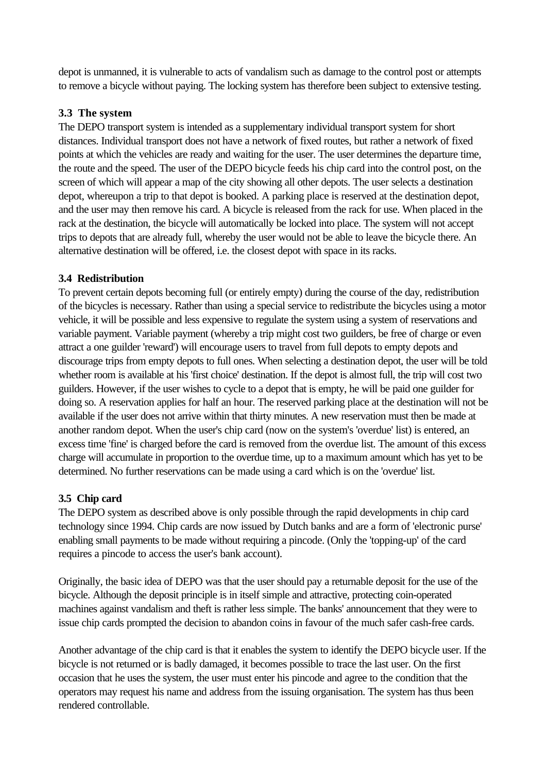depot is unmanned, it is vulnerable to acts of vandalism such as damage to the control post or attempts to remove a bicycle without paying. The locking system has therefore been subject to extensive testing.

### **3.3 The system**

The DEPO transport system is intended as a supplementary individual transport system for short distances. Individual transport does not have a network of fixed routes, but rather a network of fixed points at which the vehicles are ready and waiting for the user. The user determines the departure time, the route and the speed. The user of the DEPO bicycle feeds his chip card into the control post, on the screen of which will appear a map of the city showing all other depots. The user selects a destination depot, whereupon a trip to that depot is booked. A parking place is reserved at the destination depot, and the user may then remove his card. A bicycle is released from the rack for use. When placed in the rack at the destination, the bicycle will automatically be locked into place. The system will not accept trips to depots that are already full, whereby the user would not be able to leave the bicycle there. An alternative destination will be offered, i.e. the closest depot with space in its racks.

### **3.4 Redistribution**

To prevent certain depots becoming full (or entirely empty) during the course of the day, redistribution of the bicycles is necessary. Rather than using a special service to redistribute the bicycles using a motor vehicle, it will be possible and less expensive to regulate the system using a system of reservations and variable payment. Variable payment (whereby a trip might cost two guilders, be free of charge or even attract a one guilder 'reward') will encourage users to travel from full depots to empty depots and discourage trips from empty depots to full ones. When selecting a destination depot, the user will be told whether room is available at his 'first choice' destination. If the depot is almost full, the trip will cost two guilders. However, if the user wishes to cycle to a depot that is empty, he will be paid one guilder for doing so. A reservation applies for half an hour. The reserved parking place at the destination will not be available if the user does not arrive within that thirty minutes. A new reservation must then be made at another random depot. When the user's chip card (now on the system's 'overdue' list) is entered, an excess time 'fine' is charged before the card is removed from the overdue list. The amount of this excess charge will accumulate in proportion to the overdue time, up to a maximum amount which has yet to be determined. No further reservations can be made using a card which is on the 'overdue' list.

# **3.5 Chip card**

The DEPO system as described above is only possible through the rapid developments in chip card technology since 1994. Chip cards are now issued by Dutch banks and are a form of 'electronic purse' enabling small payments to be made without requiring a pincode. (Only the 'topping-up' of the card requires a pincode to access the user's bank account).

Originally, the basic idea of DEPO was that the user should pay a returnable deposit for the use of the bicycle. Although the deposit principle is in itself simple and attractive, protecting coin-operated machines against vandalism and theft is rather less simple. The banks' announcement that they were to issue chip cards prompted the decision to abandon coins in favour of the much safer cash-free cards.

Another advantage of the chip card is that it enables the system to identify the DEPO bicycle user. If the bicycle is not returned or is badly damaged, it becomes possible to trace the last user. On the first occasion that he uses the system, the user must enter his pincode and agree to the condition that the operators may request his name and address from the issuing organisation. The system has thus been rendered controllable.